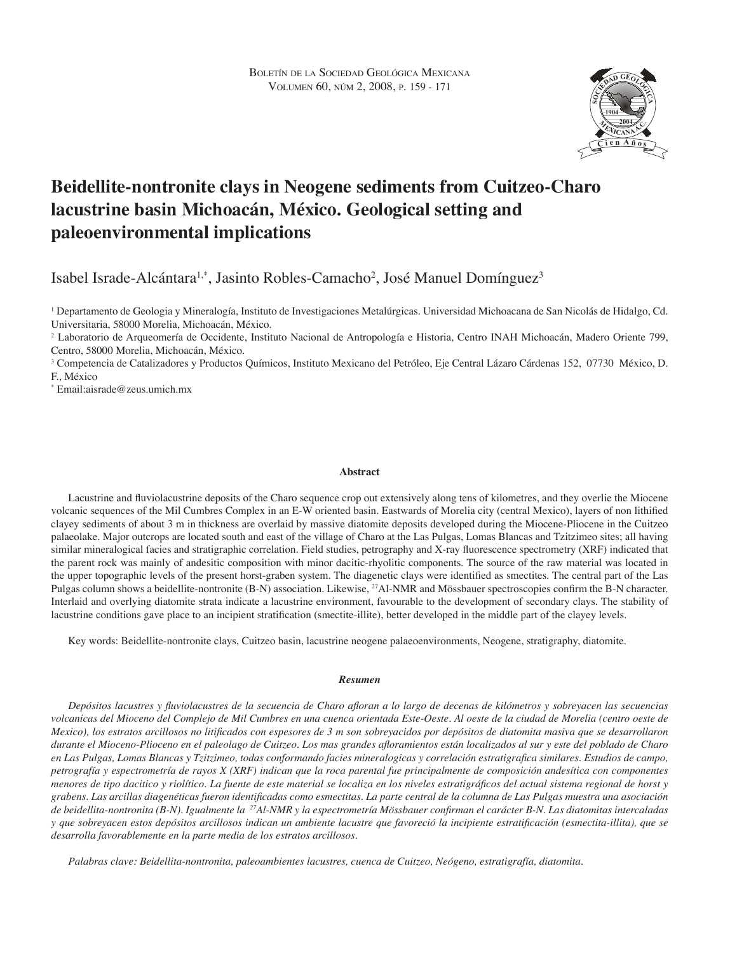

# **Beidellite-nontronite clays in Neogene sediments from Cuitzeo-Charo lacustrine basin Michoacán, México. Geological setting and paleoenvironmental implications**

Isabel Israde-Alcántara<sup>1,\*</sup>, Jasinto Robles-Camacho<sup>2</sup>, José Manuel Domínguez<sup>3</sup>

1 Departamento de Geologia y Mineralogía, Instituto de Investigaciones Metalúrgicas. Universidad Michoacana de San Nicolás de Hidalgo, Cd. Universitaria, 58000 Morelia, Michoacán, México.

2 Laboratorio de Arqueomería de Occidente, Instituto Nacional de Antropología e Historia, Centro INAH Michoacán, Madero Oriente 799, Centro, 58000 Morelia, Michoacán, México.

3 Competencia de Catalizadores y Productos Químicos, Instituto Mexicano del Petróleo, Eje Central Lázaro Cárdenas 152, 07730 México, D. F., México

\* Email:aisrade@zeus.umich.mx

# **Abstract**

Lacustrine and fluviolacustrine deposits of the Charo sequence crop out extensively along tens of kilometres, and they overlie the Miocene volcanic sequences of the Mil Cumbres Complex in an E-W oriented basin. Eastwards of Morelia city (central Mexico), layers of non lithified clayey sediments of about 3 m in thickness are overlaid by massive diatomite deposits developed during the Miocene-Pliocene in the Cuitzeo palaeolake. Major outcrops are located south and east of the village of Charo at the Las Pulgas, Lomas Blancas and Tzitzimeo sites; all having similar mineralogical facies and stratigraphic correlation. Field studies, petrography and X-ray fluorescence spectrometry (XRF) indicated that the parent rock was mainly of andesitic composition with minor dacitic-rhyolitic components. The source of the raw material was located in the upper topographic levels of the present horst-graben system. The diagenetic clays were identified as smectites. The central part of the Las Pulgas column shows a beidellite-nontronite (B-N) association. Likewise, <sup>27</sup>Al-NMR and Mössbauer spectroscopies confirm the B-N character. Interlaid and overlying diatomite strata indicate a lacustrine environment, favourable to the development of secondary clays. The stability of lacustrine conditions gave place to an incipient stratification (smectite-illite), better developed in the middle part of the clayey levels.

Key words: Beidellite-nontronite clays, Cuitzeo basin, lacustrine neogene palaeoenvironments, Neogene, stratigraphy, diatomite.

#### *Resumen*

*Depósitos lacustres y fluviolacustres de la secuencia de Charo afloran a lo largo de decenas de kilómetros y sobreyacen las secuencias volcanicas del Mioceno del Complejo de Mil Cumbres en una cuenca orientada Este-Oeste. Al oeste de la ciudad de Morelia (centro oeste de Mexico), los estratos arcillosos no litificados con espesores de 3 m son sobreyacidos por depósitos de diatomita masiva que se desarrollaron durante el Mioceno-Plioceno en el paleolago de Cuitzeo. Los mas grandes afloramientos están localizados al sur y este del poblado de Charo en Las Pulgas, Lomas Blancas y Tzitzimeo, todas conformando facies mineralogicas y correlación estratigrafica similares. Estudios de campo, petrografía y espectrometría de rayos X (XRF) indican que la roca parental fue principalmente de composición andesítica con componentes menores de tipo dacitico y riolítico. La fuente de este material se localiza en los niveles estratigráficos del actual sistema regional de horst y grabens. Las arcillas diagenéticas fueron identificadas como esmectitas. La parte central de la columna de Las Pulgas muestra una asociación de beidellita-nontronita (B-N). Igualmente la <sup>27</sup>Al-NMR y la espectrometría Mössbauer confirman el carácter B-N. Las diatomitas intercaladas y que sobreyacen estos depósitos arcillosos indican un ambiente lacustre que favoreció la incipiente estratificación (esmectita-illita), que se desarrolla favorablemente en la parte media de los estratos arcillosos.*

*Palabras clave: Beidellita-nontronita, paleoambientes lacustres, cuenca de Cuitzeo, Neógeno, estratigrafía, diatomita.*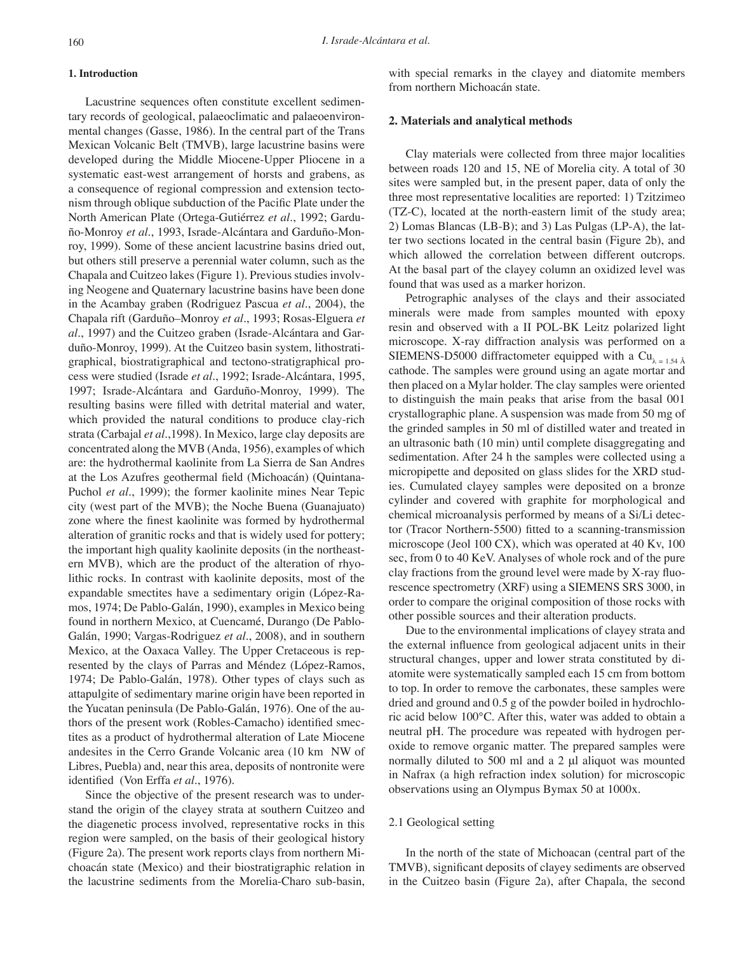## **1. Introduction**

Lacustrine sequences often constitute excellent sedimentary records of geological, palaeoclimatic and palaeoenvironmental changes (Gasse, 1986). In the central part of the Trans Mexican Volcanic Belt (TMVB), large lacustrine basins were developed during the Middle Miocene-Upper Pliocene in a systematic east-west arrangement of horsts and grabens, as a consequence of regional compression and extension tectonism through oblique subduction of the Pacific Plate under the North American Plate (Ortega-Gutiérrez *et al*., 1992; Garduño-Monroy *et al*., 1993, Israde-Alcántara and Garduño-Monroy, 1999). Some of these ancient lacustrine basins dried out, but others still preserve a perennial water column, such as the Chapala and Cuitzeo lakes (Figure 1). Previous studies involving Neogene and Quaternary lacustrine basins have been done in the Acambay graben (Rodriguez Pascua *et al*., 2004), the Chapala rift (Garduño–Monroy *et al*., 1993; Rosas-Elguera *et al*., 1997) and the Cuitzeo graben (Israde-Alcántara and Garduño-Monroy, 1999). At the Cuitzeo basin system, lithostratigraphical, biostratigraphical and tectono-stratigraphical process were studied (Israde *et al*., 1992; Israde-Alcántara, 1995, 1997; Israde-Alcántara and Garduño-Monroy, 1999). The resulting basins were filled with detrital material and water, which provided the natural conditions to produce clay-rich strata (Carbajal *et al*.,1998). In Mexico, large clay deposits are concentrated along the MVB (Anda, 1956), examples of which are: the hydrothermal kaolinite from La Sierra de San Andres at the Los Azufres geothermal field (Michoacán) (Quintana-Puchol *et al*., 1999); the former kaolinite mines Near Tepic city (west part of the MVB); the Noche Buena (Guanajuato) zone where the finest kaolinite was formed by hydrothermal alteration of granitic rocks and that is widely used for pottery; the important high quality kaolinite deposits (in the northeastern MVB), which are the product of the alteration of rhyolithic rocks. In contrast with kaolinite deposits, most of the expandable smectites have a sedimentary origin (López-Ramos, 1974; De Pablo-Galán, 1990), examples in Mexico being found in northern Mexico, at Cuencamé, Durango (De Pablo-Galán, 1990; Vargas-Rodriguez *et al*., 2008), and in southern Mexico, at the Oaxaca Valley. The Upper Cretaceous is represented by the clays of Parras and Méndez (López-Ramos, 1974; De Pablo-Galán, 1978). Other types of clays such as attapulgite of sedimentary marine origin have been reported in the Yucatan peninsula (De Pablo-Galán, 1976). One of the authors of the present work (Robles-Camacho) identified smectites as a product of hydrothermal alteration of Late Miocene andesites in the Cerro Grande Volcanic area (10 km NW of Libres, Puebla) and, near this area, deposits of nontronite were identified (Von Erffa *et al*., 1976).

Since the objective of the present research was to understand the origin of the clayey strata at southern Cuitzeo and the diagenetic process involved, representative rocks in this region were sampled, on the basis of their geological history (Figure 2a). The present work reports clays from northern Michoacán state (Mexico) and their biostratigraphic relation in the lacustrine sediments from the Morelia-Charo sub-basin, with special remarks in the clayey and diatomite members from northern Michoacán state.

## **2. Materials and analytical methods**

Clay materials were collected from three major localities between roads 120 and 15, NE of Morelia city. A total of 30 sites were sampled but, in the present paper, data of only the three most representative localities are reported: 1) Tzitzimeo (TZ-C), located at the north-eastern limit of the study area; 2) Lomas Blancas (LB-B); and 3) Las Pulgas (LP-A), the latter two sections located in the central basin (Figure 2b), and which allowed the correlation between different outcrops. At the basal part of the clayey column an oxidized level was found that was used as a marker horizon.

Petrographic analyses of the clays and their associated minerals were made from samples mounted with epoxy resin and observed with a II POL-BK Leitz polarized light microscope. X-ray diffraction analysis was performed on a SIEMENS-D5000 diffractometer equipped with a Cu<sub> $\lambda$  = 1.54</sub>  $\AA$ cathode. The samples were ground using an agate mortar and then placed on a Mylar holder. The clay samples were oriented to distinguish the main peaks that arise from the basal 001 crystallographic plane. A suspension was made from 50 mg of the grinded samples in 50 ml of distilled water and treated in an ultrasonic bath (10 min) until complete disaggregating and sedimentation. After 24 h the samples were collected using a micropipette and deposited on glass slides for the XRD studies. Cumulated clayey samples were deposited on a bronze cylinder and covered with graphite for morphological and chemical microanalysis performed by means of a Si/Li detector (Tracor Northern-5500) fitted to a scanning-transmission microscope (Jeol 100 CX), which was operated at 40 Kv, 100 sec, from 0 to 40 KeV. Analyses of whole rock and of the pure clay fractions from the ground level were made by X-ray fluorescence spectrometry (XRF) using a SIEMENS SRS 3000, in order to compare the original composition of those rocks with other possible sources and their alteration products.

Due to the environmental implications of clayey strata and the external influence from geological adjacent units in their structural changes, upper and lower strata constituted by diatomite were systematically sampled each 15 cm from bottom to top. In order to remove the carbonates, these samples were dried and ground and 0.5 g of the powder boiled in hydrochloric acid below 100°C. After this, water was added to obtain a neutral pH. The procedure was repeated with hydrogen peroxide to remove organic matter. The prepared samples were normally diluted to 500 ml and a 2 μl aliquot was mounted in Nafrax (a high refraction index solution) for microscopic observations using an Olympus Bymax 50 at 1000x.

## 2.1 Geological setting

In the north of the state of Michoacan (central part of the TMVB), significant deposits of clayey sediments are observed in the Cuitzeo basin (Figure 2a), after Chapala, the second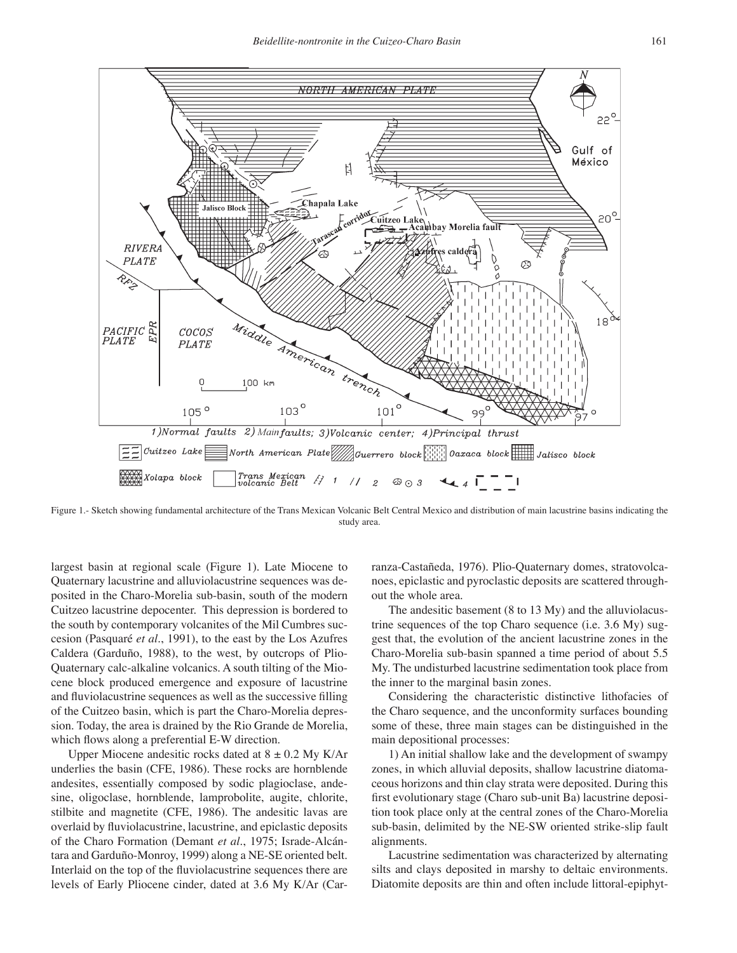

Figure 1.- Sketch showing fundamental architecture of the Trans Mexican Volcanic Belt Central Mexico and distribution of main lacustrine basins indicating the study area.

largest basin at regional scale (Figure 1). Late Miocene to Quaternary lacustrine and alluviolacustrine sequences was deposited in the Charo-Morelia sub-basin, south of the modern Cuitzeo lacustrine depocenter. This depression is bordered to the south by contemporary volcanites of the Mil Cumbres succesion (Pasquaré *et al*., 1991), to the east by the Los Azufres Caldera (Garduño, 1988), to the west, by outcrops of Plio-Quaternary calc-alkaline volcanics. A south tilting of the Miocene block produced emergence and exposure of lacustrine and fluviolacustrine sequences as well as the successive filling of the Cuitzeo basin, which is part the Charo-Morelia depression. Today, the area is drained by the Rio Grande de Morelia, which flows along a preferential E-W direction.

Upper Miocene andesitic rocks dated at  $8 \pm 0.2$  My K/Ar underlies the basin (CFE, 1986). These rocks are hornblende andesites, essentially composed by sodic plagioclase, andesine, oligoclase, hornblende, lamprobolite, augite, chlorite, stilbite and magnetite (CFE, 1986). The andesitic lavas are overlaid by fluviolacustrine, lacustrine, and epiclastic deposits of the Charo Formation (Demant *et al*., 1975; Israde-Alcántara and Garduño-Monroy, 1999) along a NE-SE oriented belt. Interlaid on the top of the fluviolacustrine sequences there are levels of Early Pliocene cinder, dated at 3.6 My K/Ar (Carranza-Castañeda, 1976). Plio-Quaternary domes, stratovolcanoes, epiclastic and pyroclastic deposits are scattered throughout the whole area.

The andesitic basement (8 to 13 My) and the alluviolacustrine sequences of the top Charo sequence (i.e. 3.6 My) suggest that, the evolution of the ancient lacustrine zones in the Charo-Morelia sub-basin spanned a time period of about 5.5 My. The undisturbed lacustrine sedimentation took place from the inner to the marginal basin zones.

Considering the characteristic distinctive lithofacies of the Charo sequence, and the unconformity surfaces bounding some of these, three main stages can be distinguished in the main depositional processes:

1) An initial shallow lake and the development of swampy zones, in which alluvial deposits, shallow lacustrine diatomaceous horizons and thin clay strata were deposited. During this first evolutionary stage (Charo sub-unit Ba) lacustrine deposition took place only at the central zones of the Charo-Morelia sub-basin, delimited by the NE-SW oriented strike-slip fault alignments.

Lacustrine sedimentation was characterized by alternating silts and clays deposited in marshy to deltaic environments. Diatomite deposits are thin and often include littoral-epiphyt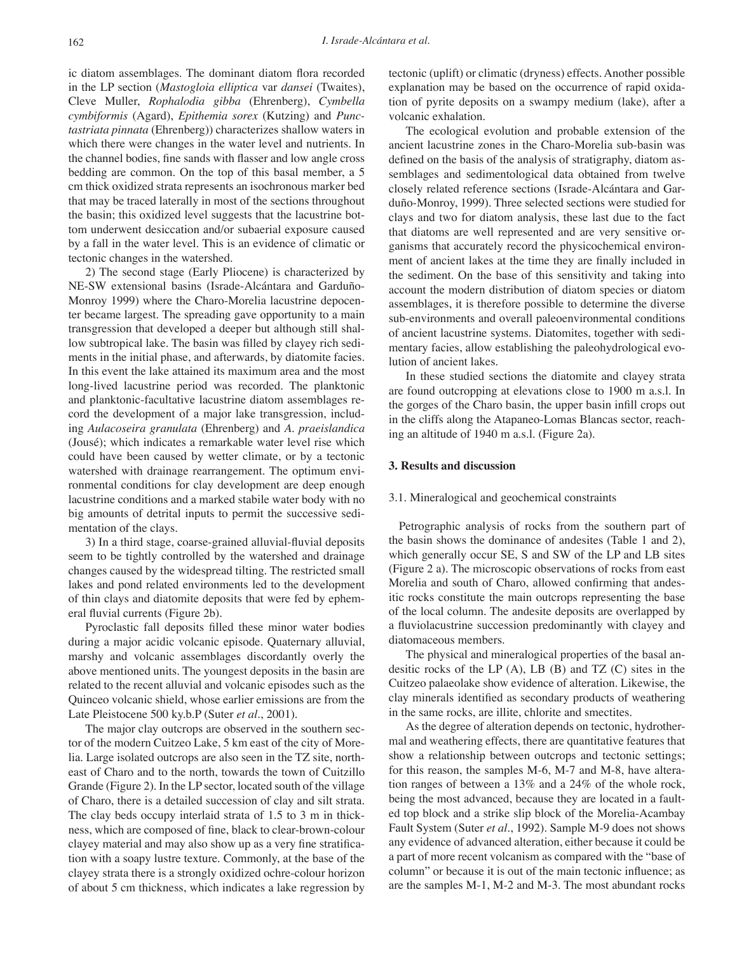ic diatom assemblages. The dominant diatom flora recorded in the LP section (*Mastogloia elliptica* var *dansei* (Twaites), Cleve Muller, *Rophalodia gibba* (Ehrenberg), *Cymbella cymbiformis* (Agard), *Epithemia sorex* (Kutzing) and *Punctastriata pinnata* (Ehrenberg)) characterizes shallow waters in which there were changes in the water level and nutrients. In the channel bodies, fine sands with flasser and low angle cross bedding are common. On the top of this basal member, a 5 cm thick oxidized strata represents an isochronous marker bed that may be traced laterally in most of the sections throughout the basin; this oxidized level suggests that the lacustrine bottom underwent desiccation and/or subaerial exposure caused by a fall in the water level. This is an evidence of climatic or tectonic changes in the watershed.

2) The second stage (Early Pliocene) is characterized by NE-SW extensional basins (Israde-Alcántara and Garduño-Monroy 1999) where the Charo-Morelia lacustrine depocenter became largest. The spreading gave opportunity to a main transgression that developed a deeper but although still shallow subtropical lake. The basin was filled by clayey rich sediments in the initial phase, and afterwards, by diatomite facies. In this event the lake attained its maximum area and the most long-lived lacustrine period was recorded. The planktonic and planktonic-facultative lacustrine diatom assemblages record the development of a major lake transgression, including *Aulacoseira granulata* (Ehrenberg) and *A. praeislandica* (Jousé); which indicates a remarkable water level rise which could have been caused by wetter climate, or by a tectonic watershed with drainage rearrangement. The optimum environmental conditions for clay development are deep enough lacustrine conditions and a marked stabile water body with no big amounts of detrital inputs to permit the successive sedimentation of the clays.

3) In a third stage, coarse-grained alluvial-fluvial deposits seem to be tightly controlled by the watershed and drainage changes caused by the widespread tilting. The restricted small lakes and pond related environments led to the development of thin clays and diatomite deposits that were fed by ephemeral fluvial currents (Figure 2b).

Pyroclastic fall deposits filled these minor water bodies during a major acidic volcanic episode. Quaternary alluvial, marshy and volcanic assemblages discordantly overly the above mentioned units. The youngest deposits in the basin are related to the recent alluvial and volcanic episodes such as the Quinceo volcanic shield, whose earlier emissions are from the Late Pleistocene 500 ky.b.P (Suter *et al*., 2001).

The major clay outcrops are observed in the southern sector of the modern Cuitzeo Lake, 5 km east of the city of Morelia. Large isolated outcrops are also seen in the TZ site, northeast of Charo and to the north, towards the town of Cuitzillo Grande (Figure 2). In the LP sector, located south of the village of Charo, there is a detailed succession of clay and silt strata. The clay beds occupy interlaid strata of 1.5 to 3 m in thickness, which are composed of fine, black to clear-brown-colour clayey material and may also show up as a very fine stratification with a soapy lustre texture. Commonly, at the base of the clayey strata there is a strongly oxidized ochre-colour horizon of about 5 cm thickness, which indicates a lake regression by tectonic (uplift) or climatic (dryness) effects. Another possible explanation may be based on the occurrence of rapid oxidation of pyrite deposits on a swampy medium (lake), after a volcanic exhalation.

The ecological evolution and probable extension of the ancient lacustrine zones in the Charo-Morelia sub-basin was defined on the basis of the analysis of stratigraphy, diatom assemblages and sedimentological data obtained from twelve closely related reference sections (Israde-Alcántara and Garduño-Monroy, 1999). Three selected sections were studied for clays and two for diatom analysis, these last due to the fact that diatoms are well represented and are very sensitive organisms that accurately record the physicochemical environment of ancient lakes at the time they are finally included in the sediment. On the base of this sensitivity and taking into account the modern distribution of diatom species or diatom assemblages, it is therefore possible to determine the diverse sub-environments and overall paleoenvironmental conditions of ancient lacustrine systems. Diatomites, together with sedimentary facies, allow establishing the paleohydrological evolution of ancient lakes.

In these studied sections the diatomite and clayey strata are found outcropping at elevations close to 1900 m a.s.l. In the gorges of the Charo basin, the upper basin infill crops out in the cliffs along the Atapaneo-Lomas Blancas sector, reaching an altitude of 1940 m a.s.l. (Figure 2a).

## **3. Results and discussion**

#### 3.1. Mineralogical and geochemical constraints

Petrographic analysis of rocks from the southern part of the basin shows the dominance of andesites (Table 1 and 2), which generally occur SE, S and SW of the LP and LB sites (Figure 2 a). The microscopic observations of rocks from east Morelia and south of Charo, allowed confirming that andesitic rocks constitute the main outcrops representing the base of the local column. The andesite deposits are overlapped by a fluviolacustrine succession predominantly with clayey and diatomaceous members.

The physical and mineralogical properties of the basal andesitic rocks of the LP  $(A)$ , LB  $(B)$  and TZ  $(C)$  sites in the Cuitzeo palaeolake show evidence of alteration. Likewise, the clay minerals identified as secondary products of weathering in the same rocks, are illite, chlorite and smectites.

As the degree of alteration depends on tectonic, hydrothermal and weathering effects, there are quantitative features that show a relationship between outcrops and tectonic settings; for this reason, the samples M-6, M-7 and M-8, have alteration ranges of between a 13% and a 24% of the whole rock, being the most advanced, because they are located in a faulted top block and a strike slip block of the Morelia-Acambay Fault System (Suter *et al*., 1992). Sample M-9 does not shows any evidence of advanced alteration, either because it could be a part of more recent volcanism as compared with the "base of column" or because it is out of the main tectonic influence; as are the samples M-1, M-2 and M-3. The most abundant rocks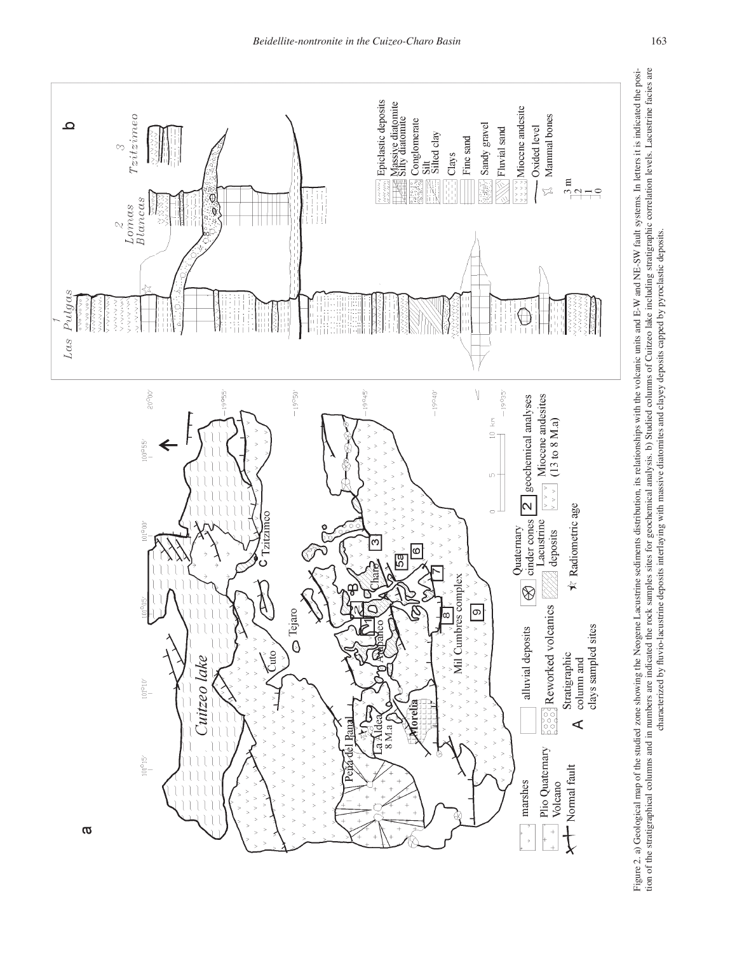

Figure 2. a) Geological map of the studied zone showing the Neogene Lacustrine sediments distribution, its relationships with the volcanic units and E-W and NE-SW fault systems. In letters it is indicated the position of t Figure 2. a) Geological map of the studied zone showing the Neogene Lacustrine sediments distribution, its relationships with the volcanic units and E-W and NE-SW fault systems. In letters it is indicated the position of t characterized by fluvio-lacustrine deposits interlaying with massive diatomites and clayey deposits capped by pyroclastic deposits.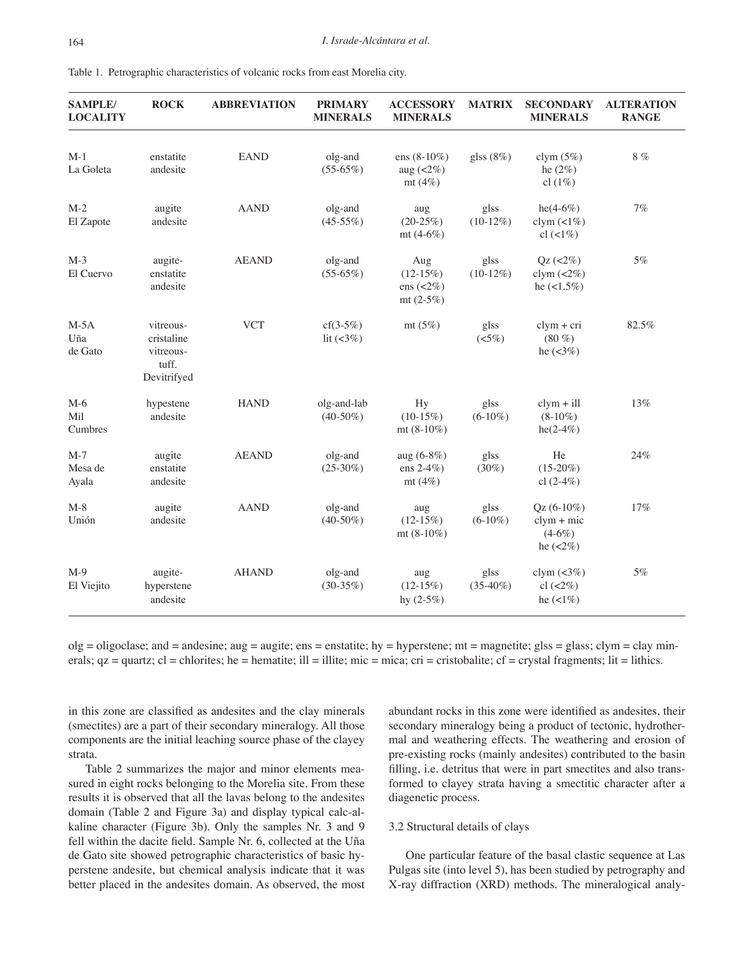| <b>SAMPLE/</b><br><b>LOCALITY</b> | <b>ROCK</b>                                                  | <b>ABBREVIATION</b> | <b>PRIMARY</b><br><b>MINERALS</b> | <b>ACCESSORY</b><br><b>MINERALS</b>                                                                 | <b>MATRIX</b>       | <b>SECONDARY</b><br><b>MINERALS</b>                                    | <b>ALTERATION</b><br><b>RANGE</b> |
|-----------------------------------|--------------------------------------------------------------|---------------------|-----------------------------------|-----------------------------------------------------------------------------------------------------|---------------------|------------------------------------------------------------------------|-----------------------------------|
| $M-1$<br>La Goleta                | enstatite<br>andesite                                        | <b>EAND</b>         | olg-and<br>$(55-65%)$             | ens $(8-10\%)$<br>aug $\left( < 2\% \right)$<br>mt $(4\%)$                                          | glss $(8%)$         | clym $(5%)$<br>he $(2%)$<br>cl $(1\%)$                                 | $8 \ \%$                          |
| $M-2$<br>El Zapote                | augite<br>andesite                                           | <b>AAND</b>         | olg-and<br>$(45-55%)$             | aug<br>$(20-25%)$<br>mt $(4-6%)$                                                                    | glss<br>$(10-12\%)$ | $he(4-6%)$<br>clym $(2\%)$<br>cl $(21\%)$                              | $7\%$                             |
| $M-3$<br>El Cuervo                | augite-<br>enstatite<br>andesite                             | <b>AEAND</b>        | olg-and<br>$(55-65%)$             | glss<br>Aug<br>$(12-15%)$<br>$(10-12\%)$<br>ens $\left( < \frac{2}{\sqrt{6}} \right)$<br>$mt(2-5%)$ |                     | $Qz$ (<2%)<br>clym $\left( <2\%\right)$<br>he $(<1.5\%)$               | 5%                                |
| $M-5A$<br>Uña<br>de Gato          | vitreous-<br>cristaline<br>vitreous-<br>tuff.<br>Devitrifyed | <b>VCT</b>          | $cf(3-5%)$<br>lit $(3%)$          | mt $(5%)$                                                                                           | glss<br>(<5%)       | $clym + cri$<br>$(80\%)$<br>he $(<3%)$                                 | 82.5%                             |
| $M-6$<br>Mil<br>Cumbres           | hypestene<br>andesite                                        | <b>HAND</b>         | olg-and-lab<br>$(40-50\%)$        | Hy<br>$(10-15\%)$<br>mt $(8-10\%)$                                                                  | glss<br>$(6-10\%)$  | $clym + ill$<br>$(8-10\%)$<br>$he(2-4%)$                               | 13%                               |
| $M-7$<br>Mesa de<br>Ayala         | augite<br>enstatite<br>andesite                              | <b>AEAND</b>        | olg-and<br>$(25-30\%)$            | aug $(6-8%)$<br>ens $2-4\%$ )<br>mt $(4\%)$                                                         | glss<br>$(30\%)$    | He<br>$(15-20\%)$<br>cl $(2-4\%)$                                      | 24%                               |
| $M-8$<br>Unión                    | augite<br>andesite                                           | <b>AAND</b>         | olg-and<br>$(40-50\%)$            | aug<br>$(12-15%)$<br>mt $(8-10\%)$                                                                  | glss<br>$(6-10\%)$  | $Qz(6-10\%)$<br>$clym + mic$<br>$(4-6%)$<br>he $(<2\%)$                | 17%                               |
| $M-9$<br>El Viejito               | augite-<br>hyperstene<br>andesite                            | <b>AHAND</b>        | olg-and<br>$(30-35%)$             | aug<br>$(12-15%)$<br>hy $(2-5%)$                                                                    | glss<br>$(35-40\%)$ | clym $\left( < \frac{3}{\sqrt{6}} \right)$<br>$cl$ (<2%)<br>he $(1\%)$ | 5%                                |

Table 1. Petrographic characteristics of volcanic rocks from east Morelia city.

 $olg = oligoclase$ ; and  $= andesine$ ; aug  $= augite$ ; ens  $= enstatite$ ; hy  $= hypersten$ ; mt  $= magnetite$ ; glss  $= glass$ ; clym  $= clay min$ erals;  $qz =$  quartz;  $cl =$  chlorites; he = hematite; ill = illite; mic = mica; cri = cristobalite;  $cf =$  crystal fragments; lit = lithics.

in this zone are classified as andesites and the clay minerals (smectites) are a part of their secondary mineralogy. All those components are the initial leaching source phase of the clayey strata.

Table 2 summarizes the major and minor elements measured in eight rocks belonging to the Morelia site. From these results it is observed that all the lavas belong to the andesites domain (Table 2 and Figure 3a) and display typical calc-alkaline character (Figure 3b). Only the samples Nr. 3 and 9 fell within the dacite field. Sample Nr. 6, collected at the Uña de Gato site showed petrographic characteristics of basic hyperstene andesite, but chemical analysis indicate that it was better placed in the andesites domain. As observed, the most abundant rocks in this zone were identified as andesites, their secondary mineralogy being a product of tectonic, hydrothermal and weathering effects. The weathering and erosion of pre-existing rocks (mainly andesites) contributed to the basin filling, i.e. detritus that were in part smectites and also transformed to clayey strata having a smectitic character after a diagenetic process.

# 3.2 Structural details of clays

One particular feature of the basal clastic sequence at Las Pulgas site (into level 5), has been studied by petrography and X-ray diffraction (XRD) methods. The mineralogical analy-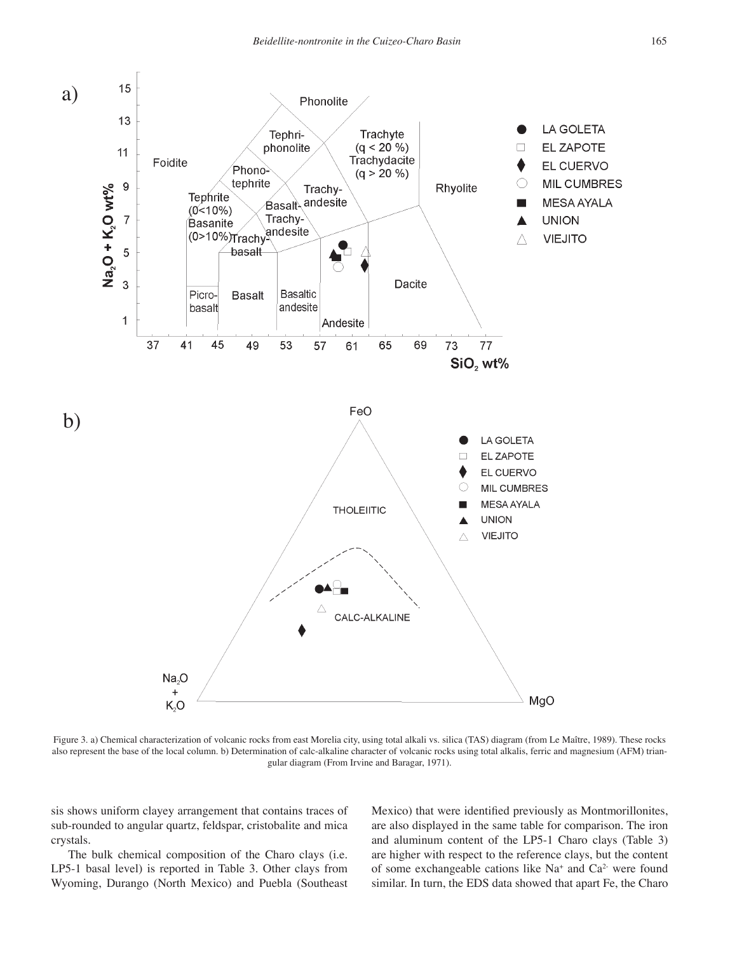

Figure 3. a) Chemical characterization of volcanic rocks from east Morelia city, using total alkali vs. silica (TAS) diagram (from Le Maître, 1989). These rocks also represent the base of the local column. b) Determination of calc-alkaline character of volcanic rocks using total alkalis, ferric and magnesium (AFM) triangular diagram (From Irvine and Baragar, 1971).

sis shows uniform clayey arrangement that contains traces of sub-rounded to angular quartz, feldspar, cristobalite and mica crystals.

The bulk chemical composition of the Charo clays (i.e. LP5-1 basal level) is reported in Table 3. Other clays from Wyoming, Durango (North Mexico) and Puebla (Southeast Mexico) that were identified previously as Montmorillonites, are also displayed in the same table for comparison. The iron and aluminum content of the LP5-1 Charo clays (Table 3) are higher with respect to the reference clays, but the content of some exchangeable cations like Na+ and Ca2- were found similar. In turn, the EDS data showed that apart Fe, the Charo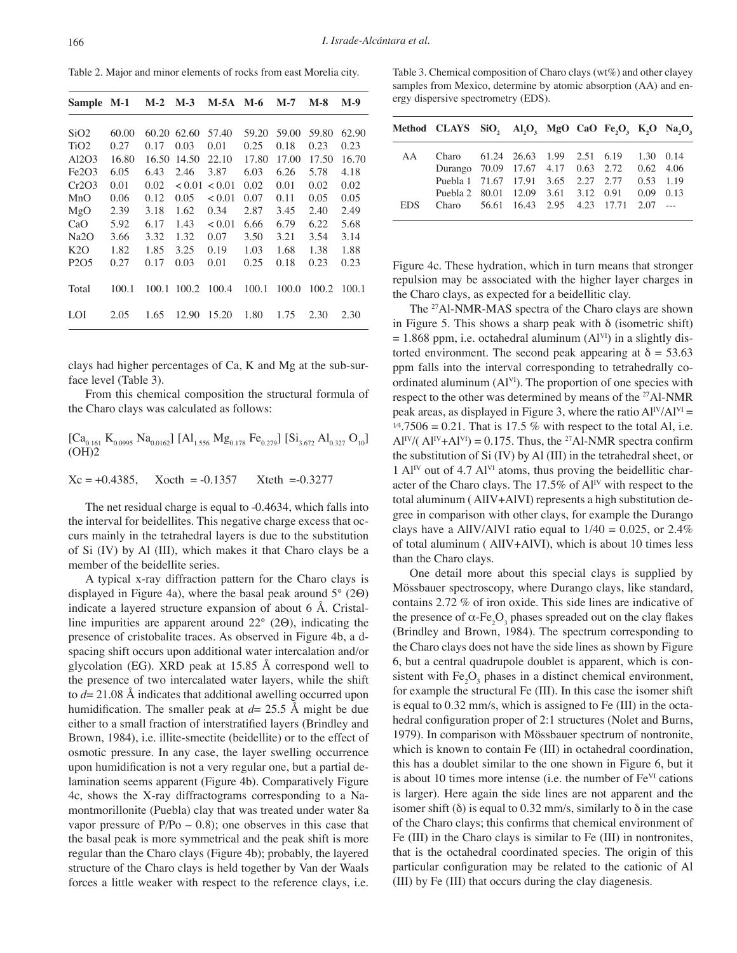Table 2. Major and minor elements of rocks from east Morelia city.

| Sample M-1                    |       | $M-2$ | $M-3$  | M-5A   | M-6   | M-7   | M-8   | M-9   |
|-------------------------------|-------|-------|--------|--------|-------|-------|-------|-------|
|                               |       |       |        |        |       |       |       |       |
| SiO <sub>2</sub>              | 60.00 | 60.20 | 62.60  | 57.40  | 59.20 | 59.00 | 59.80 | 62.90 |
| TiO <sub>2</sub>              | 0.27  | 0.17  | 0.03   | 0.01   | 0.25  | 0.18  | 0.23  | 0.23  |
| A12O3                         | 16.80 | 16.50 | 14.50  | 22.10  | 17.80 | 17.00 | 17.50 | 16.70 |
| Fe <sub>2O<sub>3</sub></sub>  | 6.05  | 6.43  | 2.46   | 3.87   | 6.03  | 6.26  | 5.78  | 4.18  |
| Cr2O3                         | 0.01  | 0.02  | < 0.01 | < 0.01 | 0.02  | 0.01  | 0.02  | 0.02  |
| MnO                           | 0.06  | 0.12  | 0.05   | < 0.01 | 0.07  | 0.11  | 0.05  | 0.05  |
| MgO                           | 2.39  | 3.18  | 1.62   | 0.34   | 2.87  | 3.45  | 2.40  | 2.49  |
| CaO                           | 5.92  | 6.17  | 1.43   | < 0.01 | 6.66  | 6.79  | 6.22  | 5.68  |
| Na <sub>2</sub> O             | 3.66  | 3.32  | 1.32   | 0.07   | 3.50  | 3.21  | 3.54  | 3.14  |
| K2O                           | 1.82  | 1.85  | 3.25   | 0.19   | 1.03  | 1.68  | 1.38  | 1.88  |
| P <sub>2</sub> O <sub>5</sub> | 0.27  | 0.17  | 0.03   | 0.01   | 0.25  | 0.18  | 0.23  | 0.23  |
| Total                         | 100.1 | 100.1 | 100.2  | 100.4  | 100.1 | 100.0 | 100.2 | 100.1 |
| LOI                           | 2.05  | 1.65  | 12.90  | 15.20  | 1.80  | 1.75  | 2.30  | 2.30  |

clays had higher percentages of Ca, K and Mg at the sub-surface level (Table 3).

From this chemical composition the structural formula of the Charo clays was calculated as follows:

$$
\begin{bmatrix} \rm{Ca_{0.161}\;K_{0.0995}\;Na_{0.0162}} \rm{[Al}_{1.556}\;Mg_{0.178}\;Fe_{0.279}]\; \rm{[Si_{3.672}\;Al_{0.327}\;O_{10}} \rm{]}\\ \rm{(OH)2} \end{bmatrix}
$$

$$
Xc = +0.4385
$$
,  $Xoch = -0.1357$   $Xteth = -0.3277$ 

The net residual charge is equal to -0.4634, which falls into the interval for beidellites. This negative charge excess that occurs mainly in the tetrahedral layers is due to the substitution of Si (IV) by Al (III), which makes it that Charo clays be a member of the beidellite series.

A typical x-ray diffraction pattern for the Charo clays is displayed in Figure 4a), where the basal peak around  $5^{\circ}$  (2 $\Theta$ ) indicate a layered structure expansion of about 6 Å. Cristalline impurities are apparent around  $22^{\circ}$  (20), indicating the presence of cristobalite traces. As observed in Figure 4b, a dspacing shift occurs upon additional water intercalation and/or glycolation (EG). XRD peak at 15.85 Å correspond well to the presence of two intercalated water layers, while the shift to *d*= 21.08 Å indicates that additional awelling occurred upon humidification. The smaller peak at  $d= 25.5$  Å might be due either to a small fraction of interstratified layers (Brindley and Brown, 1984), i.e. illite-smectite (beidellite) or to the effect of osmotic pressure. In any case, the layer swelling occurrence upon humidification is not a very regular one, but a partial delamination seems apparent (Figure 4b). Comparatively Figure 4c, shows the X-ray diffractograms corresponding to a Namontmorillonite (Puebla) clay that was treated under water 8a vapor pressure of  $P/Po - 0.8$ ; one observes in this case that the basal peak is more symmetrical and the peak shift is more regular than the Charo clays (Figure 4b); probably, the layered structure of the Charo clays is held together by Van der Waals forces a little weaker with respect to the reference clays, i.e.

Table 3. Chemical composition of Charo clays (wt%) and other clayey samples from Mexico, determine by atomic absorption (AA) and energy dispersive spectrometry (EDS).

|            | Method CLAYS SiO, Al,O, MgO CaO Fe,O, K,O Na,O, |  |  |  |  |
|------------|-------------------------------------------------|--|--|--|--|
| AA         | Charo 61.24 26.63 1.99 2.51 6.19 1.30 0.14      |  |  |  |  |
|            | Durango 70.09 17.67 4.17 0.63 2.72 0.62 4.06    |  |  |  |  |
|            | Puebla 1 71.67 17.91 3.65 2.27 2.77 0.53 1.19   |  |  |  |  |
|            | Puebla 2 80.01 12.09 3.61 3.12 0.91 0.09 0.13   |  |  |  |  |
| <b>EDS</b> | Charo 56.61 16.43 2.95 4.23 17.71 2.07 ---      |  |  |  |  |

Figure 4c. These hydration, which in turn means that stronger repulsion may be associated with the higher layer charges in the Charo clays, as expected for a beidellitic clay.

The <sup>27</sup>Al-NMR-MAS spectra of the Charo clays are shown in Figure 5. This shows a sharp peak with δ (isometric shift)  $= 1.868$  ppm, i.e. octahedral aluminum (Al<sup>VI</sup>) in a slightly distorted environment. The second peak appearing at  $\delta = 53.63$ ppm falls into the interval corresponding to tetrahedrally coordinated aluminum  $(AI^{VI})$ . The proportion of one species with respect to the other was determined by means of the <sup>27</sup>Al-NMR peak areas, as displayed in Figure 3, where the ratio  $Al<sup>IV</sup>/Al<sup>VI</sup> =$  $1/4.7506 = 0.21$ . That is 17.5 % with respect to the total Al, i.e.  $Al^{IV}/(Al^{IV}+Al^{VI}) = 0.175$ . Thus, the <sup>27</sup>Al-NMR spectra confirm the substitution of Si (IV) by Al (III) in the tetrahedral sheet, or 1 AlIV out of 4.7 AlVI atoms, thus proving the beidellitic character of the Charo clays. The 17.5% of  $Al<sup>IV</sup>$  with respect to the total aluminum ( AlIV+AlVI) represents a high substitution degree in comparison with other clays, for example the Durango clays have a AlIV/AlVI ratio equal to  $1/40 = 0.025$ , or 2.4% of total aluminum ( AlIV+AlVI), which is about 10 times less than the Charo clays.

One detail more about this special clays is supplied by Mössbauer spectroscopy, where Durango clays, like standard, contains 2.72 % of iron oxide. This side lines are indicative of the presence of α-Fe<sub>2</sub>O<sub>3</sub> phases spreaded out on the clay flakes (Brindley and Brown, 1984). The spectrum corresponding to the Charo clays does not have the side lines as shown by Figure 6, but a central quadrupole doublet is apparent, which is consistent with  $Fe<sub>2</sub>O<sub>3</sub>$  phases in a distinct chemical environment, for example the structural Fe (III). In this case the isomer shift is equal to 0.32 mm/s, which is assigned to Fe (III) in the octahedral configuration proper of 2:1 structures (Nolet and Burns, 1979). In comparison with Mössbauer spectrum of nontronite, which is known to contain Fe (III) in octahedral coordination, this has a doublet similar to the one shown in Figure 6, but it is about 10 times more intense (i.e. the number of  $Fe<sup>VI</sup>$  cations is larger). Here again the side lines are not apparent and the isomer shift ( $\delta$ ) is equal to 0.32 mm/s, similarly to  $\delta$  in the case of the Charo clays; this confirms that chemical environment of Fe (III) in the Charo clays is similar to Fe (III) in nontronites, that is the octahedral coordinated species. The origin of this particular configuration may be related to the cationic of Al (III) by Fe (III) that occurs during the clay diagenesis.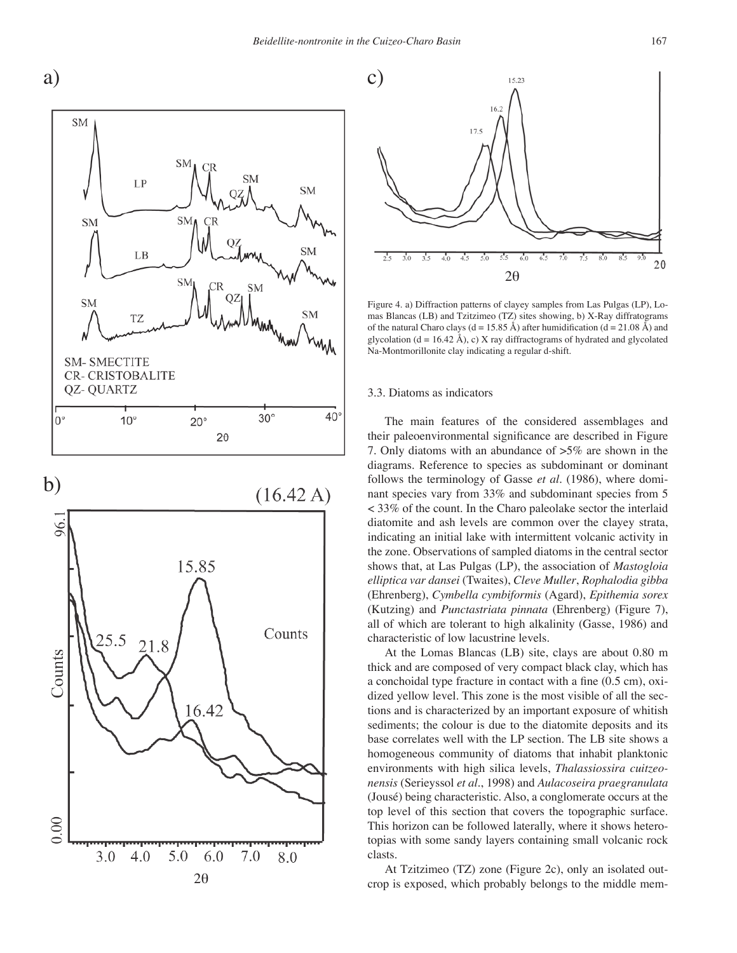

b)  $(16.42 A)$ 96. 15.85





Figure 4. a) Diffraction patterns of clayey samples from Las Pulgas (LP), Lomas Blancas (LB) and Tzitzimeo (TZ) sites showing, b) X-Ray diffratograms of the natural Charo clays ( $d = 15.85 \text{ Å}$ ) after humidification ( $d = 21.08 \text{ Å}$ ) and glycolation (d = 16.42 Å), c) X ray diffractograms of hydrated and glycolated Na-Montmorillonite clay indicating a regular d-shift.

#### 3.3. Diatoms as indicators

The main features of the considered assemblages and their paleoenvironmental significance are described in Figure 7. Only diatoms with an abundance of >5% are shown in the diagrams. Reference to species as subdominant or dominant follows the terminology of Gasse *et al*. (1986), where dominant species vary from 33% and subdominant species from 5 < 33% of the count. In the Charo paleolake sector the interlaid diatomite and ash levels are common over the clayey strata, indicating an initial lake with intermittent volcanic activity in the zone. Observations of sampled diatoms in the central sector shows that, at Las Pulgas (LP), the association of *Mastogloia elliptica var dansei* (Twaites), *Cleve Muller*, *Rophalodia gibba*  (Ehrenberg), *Cymbella cymbiformis* (Agard), *Epithemia sorex*  (Kutzing) and *Punctastriata pinnata* (Ehrenberg) (Figure 7), all of which are tolerant to high alkalinity (Gasse, 1986) and characteristic of low lacustrine levels.

At the Lomas Blancas (LB) site, clays are about 0.80 m thick and are composed of very compact black clay, which has a conchoidal type fracture in contact with a fine (0.5 cm), oxidized yellow level. This zone is the most visible of all the sections and is characterized by an important exposure of whitish sediments; the colour is due to the diatomite deposits and its base correlates well with the LP section. The LB site shows a homogeneous community of diatoms that inhabit planktonic environments with high silica levels, *Thalassiossira cuitzeonensis* (Serieyssol *et al*., 1998) and *Aulacoseira praegranulata* (Jousé) being characteristic. Also, a conglomerate occurs at the top level of this section that covers the topographic surface. This horizon can be followed laterally, where it shows heterotopias with some sandy layers containing small volcanic rock clasts.

At Tzitzimeo (TZ) zone (Figure 2c), only an isolated outcrop is exposed, which probably belongs to the middle mem-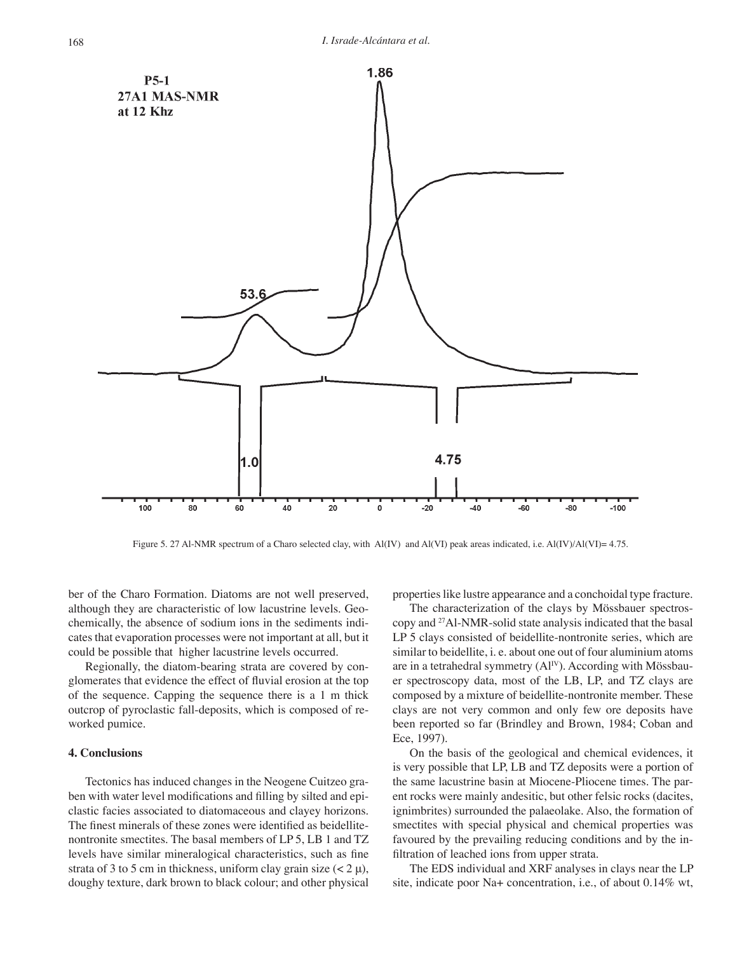

Figure 5. 27 Al-NMR spectrum of a Charo selected clay, with Al(IV) and Al(VI) peak areas indicated, i.e. Al(IV)/Al(VI)= 4.75.

ber of the Charo Formation. Diatoms are not well preserved, although they are characteristic of low lacustrine levels. Geochemically, the absence of sodium ions in the sediments indicates that evaporation processes were not important at all, but it could be possible that higher lacustrine levels occurred.

Regionally, the diatom-bearing strata are covered by conglomerates that evidence the effect of fluvial erosion at the top of the sequence. Capping the sequence there is a 1 m thick outcrop of pyroclastic fall-deposits, which is composed of reworked pumice.

# **4. Conclusions**

Tectonics has induced changes in the Neogene Cuitzeo graben with water level modifications and filling by silted and epiclastic facies associated to diatomaceous and clayey horizons. The finest minerals of these zones were identified as beidellitenontronite smectites. The basal members of LP 5, LB 1 and TZ levels have similar mineralogical characteristics, such as fine strata of 3 to 5 cm in thickness, uniform clay grain size  $(< 2 \mu)$ , doughy texture, dark brown to black colour; and other physical properties like lustre appearance and a conchoidal type fracture.

The characterization of the clays by Mössbauer spectroscopy and 27Al-NMR-solid state analysis indicated that the basal LP 5 clays consisted of beidellite-nontronite series, which are similar to beidellite, i. e. about one out of four aluminium atoms are in a tetrahedral symmetry (Al<sup>IV</sup>). According with Mössbauer spectroscopy data, most of the LB, LP, and TZ clays are composed by a mixture of beidellite-nontronite member. These clays are not very common and only few ore deposits have been reported so far (Brindley and Brown, 1984; Coban and Ece, 1997).

On the basis of the geological and chemical evidences, it is very possible that LP, LB and TZ deposits were a portion of the same lacustrine basin at Miocene-Pliocene times. The parent rocks were mainly andesitic, but other felsic rocks (dacites, ignimbrites) surrounded the palaeolake. Also, the formation of smectites with special physical and chemical properties was favoured by the prevailing reducing conditions and by the infiltration of leached ions from upper strata.

The EDS individual and XRF analyses in clays near the LP site, indicate poor Na+ concentration, i.e., of about 0.14% wt,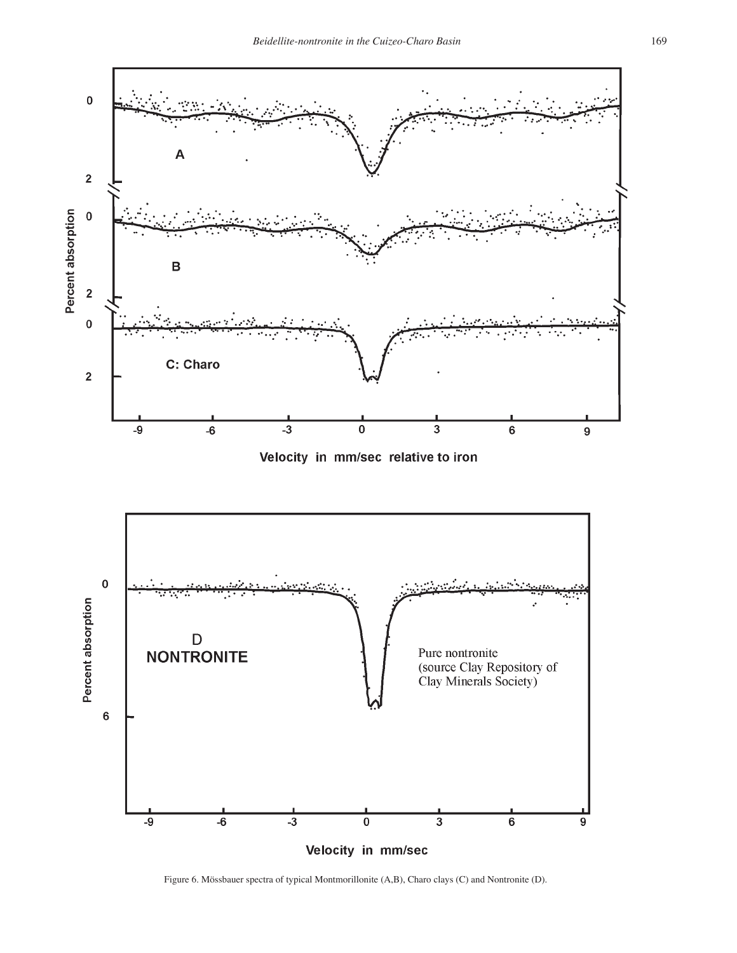



Figure 6. Mössbauer spectra of typical Montmorillonite (A,B), Charo clays (C) and Nontronite (D).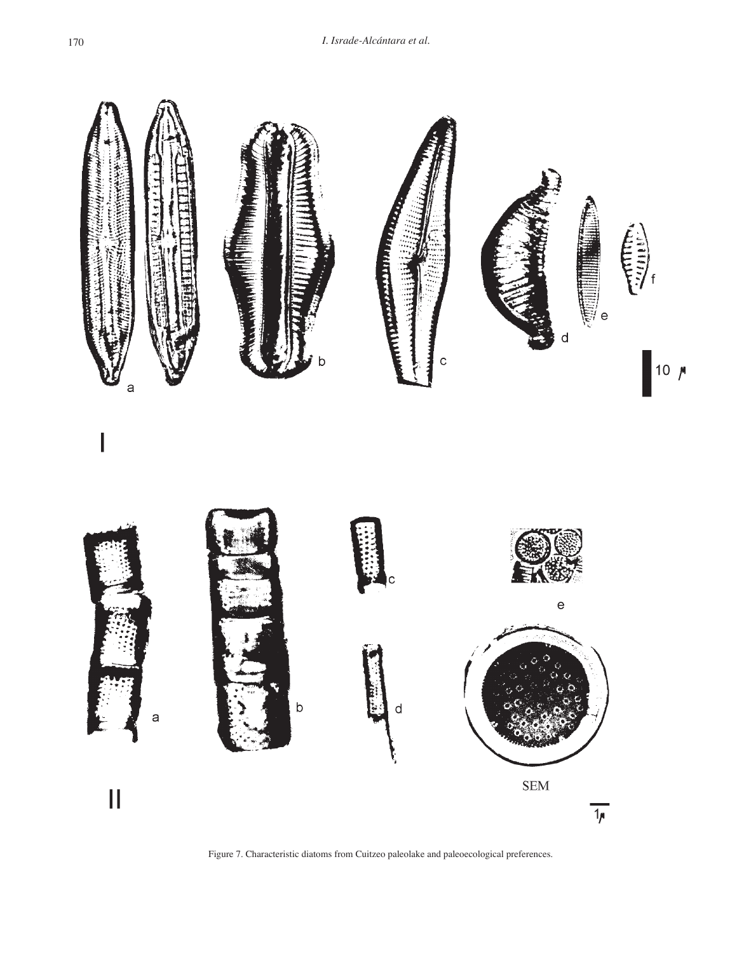

Figure 7. Characteristic diatoms from Cuitzeo paleolake and paleoecological preferences.